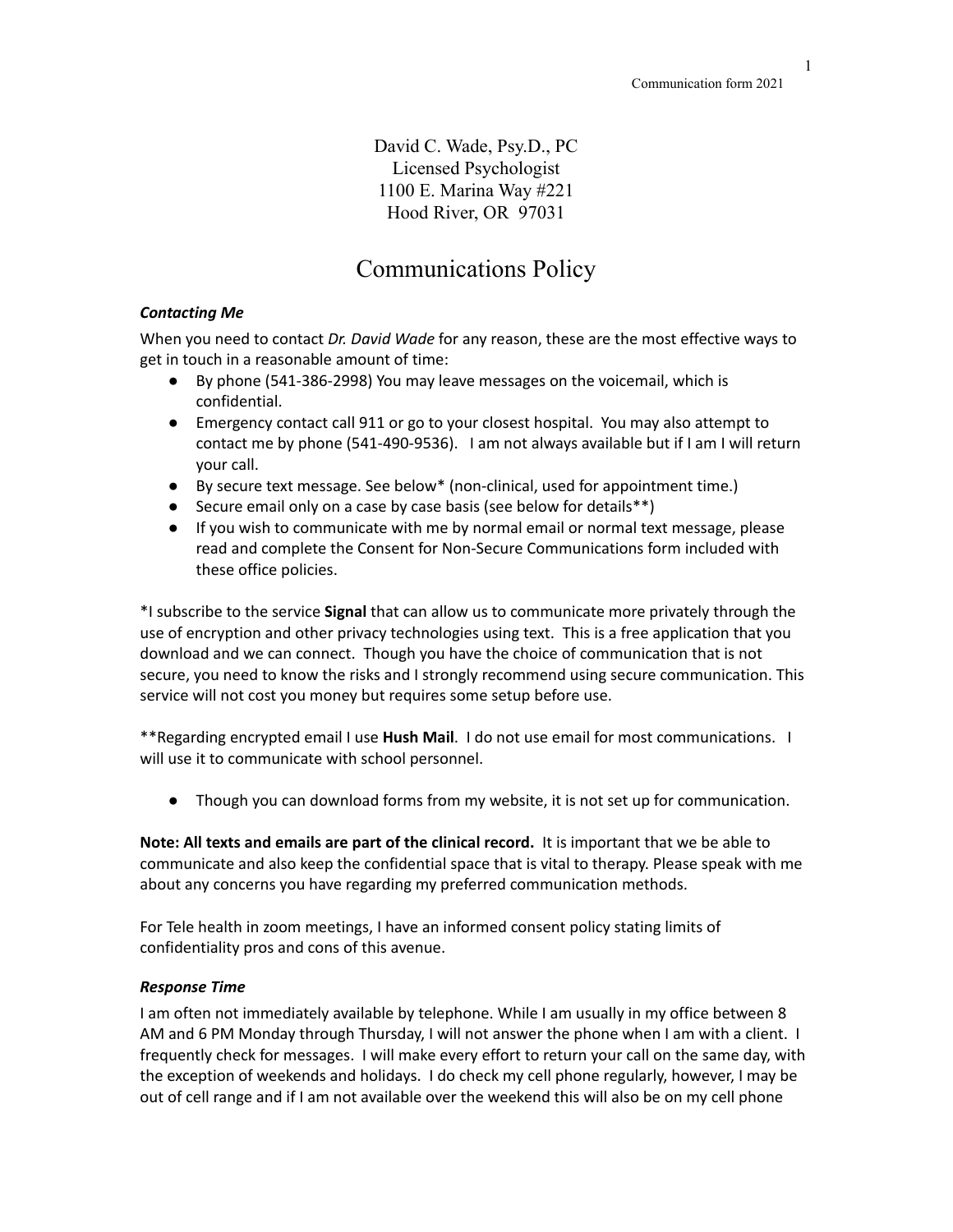David C. Wade, Psy.D., PC Licensed Psychologist 1100 E. Marina Way #221 Hood River, OR 97031

## Communications Policy

## *Contacting Me*

When you need to contact *Dr. David Wade* for any reason, these are the most effective ways to get in touch in a reasonable amount of time:

- By phone (541-386-2998) You may leave messages on the voicemail, which is confidential.
- Emergency contact call 911 or go to your closest hospital. You may also attempt to contact me by phone (541-490-9536). I am not always available but if I am I will return your call.
- By secure text message. See below\* (non-clinical, used for appointment time.)
- Secure email only on a case by case basis (see below for details\*\*)
- If you wish to communicate with me by normal email or normal text message, please read and complete the Consent for Non-Secure Communications form included with these office policies.

\*I subscribe to the service **Signal** that can allow us to communicate more privately through the use of encryption and other privacy technologies using text. This is a free application that you download and we can connect. Though you have the choice of communication that is not secure, you need to know the risks and I strongly recommend using secure communication. This service will not cost you money but requires some setup before use.

\*\*Regarding encrypted email I use **Hush Mail**. I do not use email for most communications. I will use it to communicate with school personnel.

● Though you can download forms from my website, it is not set up for communication.

**Note: All texts and emails are part of the clinical record.** It is important that we be able to communicate and also keep the confidential space that is vital to therapy. Please speak with me about any concerns you have regarding my preferred communication methods.

For Tele health in zoom meetings, I have an informed consent policy stating limits of confidentiality pros and cons of this avenue.

## *Response Time*

I am often not immediately available by telephone. While I am usually in my office between 8 AM and 6 PM Monday through Thursday, I will not answer the phone when I am with a client. I frequently check for messages. I will make every effort to return your call on the same day, with the exception of weekends and holidays. I do check my cell phone regularly, however, I may be out of cell range and if I am not available over the weekend this will also be on my cell phone